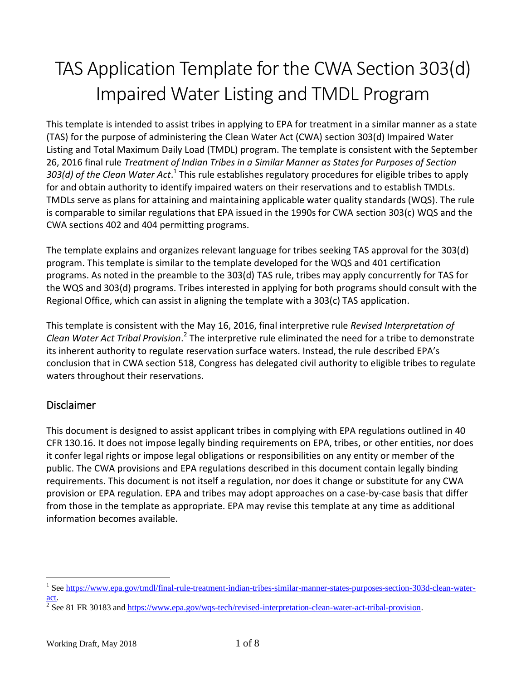# TAS Application Template for the CWA Section 303(d) Impaired Water Listing and TMDL Program

This template is intended to assist tribes in applying to EPA for treatment in a similar manner as a state (TAS) for the purpose of administering the Clean Water Act (CWA) section 303(d) Impaired Water Listing and Total Maximum Daily Load (TMDL) program. The template is consistent with the September 26, 2016 final rule *Treatment of Indian Tribes in a Similar Manner as States for Purposes of Section*  303(d) of the Clean Water Act.<sup>1</sup> This rule establishes regulatory procedures for eligible tribes to apply for and obtain authority to identify impaired waters on their reservations and to establish TMDLs. TMDLs serve as plans for attaining and maintaining applicable water quality standards (WQS). The rule is comparable to similar regulations that EPA issued in the 1990s for CWA section 303(c) WQS and the CWA sections 402 and 404 permitting programs.

The template explains and organizes relevant language for tribes seeking TAS approval for the 303(d) program. This template is similar to the template developed for the WQS and 401 certification programs. As noted in the preamble to the 303(d) TAS rule, tribes may apply concurrently for TAS for the WQS and 303(d) programs. Tribes interested in applying for both programs should consult with the Regional Office, which can assist in aligning the template with a 303(c) TAS application.

This template is consistent with the May 16, 2016, final interpretive rule *Revised Interpretation of*  Clean Water Act Tribal Provision.<sup>2</sup> The interpretive rule eliminated the need for a tribe to demonstrate its inherent authority to regulate reservation surface waters. Instead, the rule described EPA's conclusion that in CWA section 518, Congress has delegated civil authority to eligible tribes to regulate waters throughout their reservations.

## Disclaimer

This document is designed to assist applicant tribes in complying with EPA regulations outlined in 40 CFR 130.16. It does not impose legally binding requirements on EPA, tribes, or other entities, nor does it confer legal rights or impose legal obligations or responsibilities on any entity or member of the public. The CWA provisions and EPA regulations described in this document contain legally binding requirements. This document is not itself a regulation, nor does it change or substitute for any CWA provision or EPA regulation. EPA and tribes may adopt approaches on a case-by-case basis that differ from those in the template as appropriate. EPA may revise this template at any time as additional information becomes available.

 $\overline{a}$ <sup>1</sup> Se[e https://www.epa.gov/tmdl/final-rule-treatment-indian-tribes-similar-manner-states-purposes-section-303d-clean-water](https://www.epa.gov/tmdl/final-rule-treatment-indian-tribes-similar-manner-states-purposes-section-303d-clean-water-act)[act.](https://www.epa.gov/tmdl/final-rule-treatment-indian-tribes-similar-manner-states-purposes-section-303d-clean-water-act)

<sup>2</sup> See 81 FR 30183 an[d https://www.epa.gov/wqs-tech/revised-interpretation-clean-water-act-tribal-provision.](https://www.epa.gov/wqs-tech/revised-interpretation-clean-water-act-tribal-provision)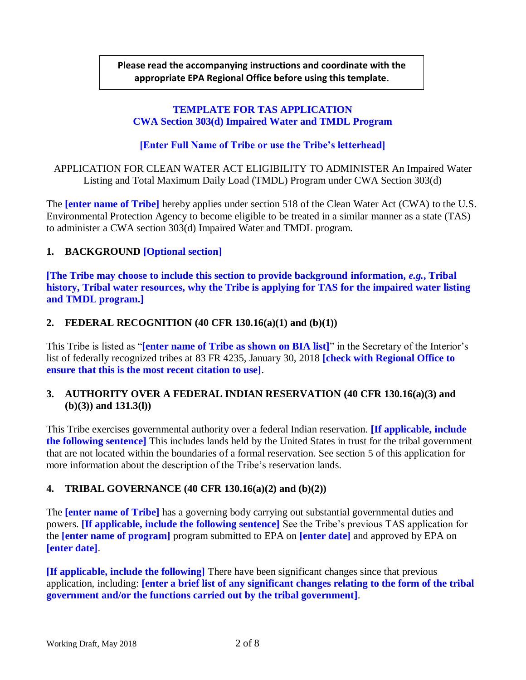## **Please read the accompanying instructions and coordinate with the appropriate EPA Regional Office before using this template**.

## **TEMPLATE FOR TAS APPLICATION CWA Section 303(d) Impaired Water and TMDL Program**

## **[Enter Full Name of Tribe or use the Tribe's letterhead]**

APPLICATION FOR CLEAN WATER ACT ELIGIBILITY TO ADMINISTER An Impaired Water Listing and Total Maximum Daily Load (TMDL) Program under CWA Section 303(d)

The **[enter name of Tribe]** hereby applies under section 518 of the Clean Water Act (CWA) to the U.S. Environmental Protection Agency to become eligible to be treated in a similar manner as a state (TAS) to administer a CWA section 303(d) Impaired Water and TMDL program.

## **1. BACKGROUND [Optional section]**

**[The Tribe may choose to include this section to provide background information,** *e.g.***, Tribal history, Tribal water resources, why the Tribe is applying for TAS for the impaired water listing and TMDL program.]**

## **2. FEDERAL RECOGNITION (40 CFR 130.16(a)(1) and (b)(1))**

This Tribe is listed as "**[enter name of Tribe as shown on BIA list]**" in the Secretary of the Interior's list of federally recognized tribes at 83 FR 4235, January 30, 2018 **[check with Regional Office to ensure that this is the most recent citation to use]**.

## **3. AUTHORITY OVER A FEDERAL INDIAN RESERVATION (40 CFR 130.16(a)(3) and (b)(3)) and 131.3(l))**

This Tribe exercises governmental authority over a federal Indian reservation. **[If applicable, include the following sentence]** This includes lands held by the United States in trust for the tribal government that are not located within the boundaries of a formal reservation. See section 5 of this application for more information about the description of the Tribe's reservation lands.

## **4. TRIBAL GOVERNANCE (40 CFR 130.16(a)(2) and (b)(2))**

The **[enter name of Tribe]** has a governing body carrying out substantial governmental duties and powers. **[If applicable, include the following sentence]** See the Tribe's previous TAS application for the **[enter name of program]** program submitted to EPA on **[enter date]** and approved by EPA on **[enter date]**.

**[If applicable, include the following]** There have been significant changes since that previous application, including: **[enter a brief list of any significant changes relating to the form of the tribal government and/or the functions carried out by the tribal government]**.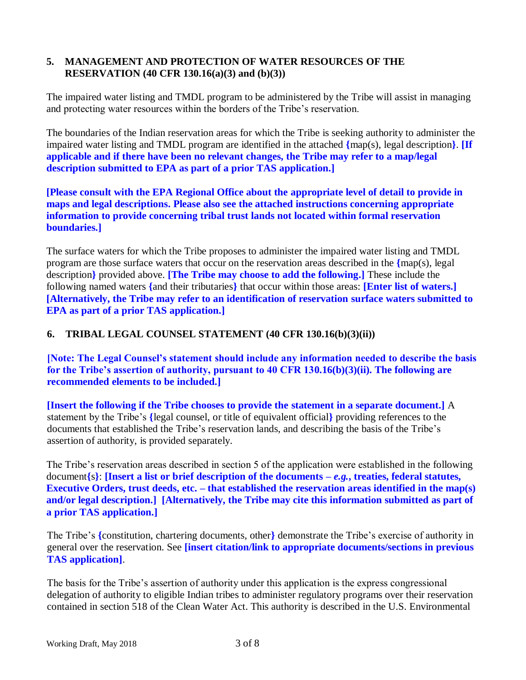## **5. MANAGEMENT AND PROTECTION OF WATER RESOURCES OF THE RESERVATION (40 CFR 130.16(a)(3) and (b)(3))**

The impaired water listing and TMDL program to be administered by the Tribe will assist in managing and protecting water resources within the borders of the Tribe's reservation.

The boundaries of the Indian reservation areas for which the Tribe is seeking authority to administer the impaired water listing and TMDL program are identified in the attached **{**map(s), legal description**}**. **[If applicable and if there have been no relevant changes, the Tribe may refer to a map/legal description submitted to EPA as part of a prior TAS application.]**

**[Please consult with the EPA Regional Office about the appropriate level of detail to provide in maps and legal descriptions. Please also see the attached instructions concerning appropriate information to provide concerning tribal trust lands not located within formal reservation boundaries.]**

The surface waters for which the Tribe proposes to administer the impaired water listing and TMDL program are those surface waters that occur on the reservation areas described in the **{**map(s), legal description**}** provided above. **[The Tribe may choose to add the following.]** These include the following named waters **{**and their tributaries**}** that occur within those areas: **[Enter list of waters.] [Alternatively, the Tribe may refer to an identification of reservation surface waters submitted to EPA as part of a prior TAS application.]**

### **6. TRIBAL LEGAL COUNSEL STATEMENT (40 CFR 130.16(b)(3)(ii))**

**[Note: The Legal Counsel's statement should include any information needed to describe the basis for the Tribe's assertion of authority, pursuant to 40 CFR 130.16(b)(3)(ii). The following are recommended elements to be included.]**

**[Insert the following if the Tribe chooses to provide the statement in a separate document.]** A statement by the Tribe's **{**legal counsel, or title of equivalent official**}** providing references to the documents that established the Tribe's reservation lands, and describing the basis of the Tribe's assertion of authority, is provided separately.

The Tribe's reservation areas described in section 5 of the application were established in the following document**{**s**}**: **[Insert a list or brief description of the documents –** *e.g.***, treaties, federal statutes, Executive Orders, trust deeds, etc. – that established the reservation areas identified in the map(s) and/or legal description.] [Alternatively, the Tribe may cite this information submitted as part of a prior TAS application.]**

The Tribe's **{**constitution, chartering documents, other**}** demonstrate the Tribe's exercise of authority in general over the reservation. See **[insert citation/link to appropriate documents/sections in previous TAS application]**.

The basis for the Tribe's assertion of authority under this application is the express congressional delegation of authority to eligible Indian tribes to administer regulatory programs over their reservation contained in section 518 of the Clean Water Act. This authority is described in the U.S. Environmental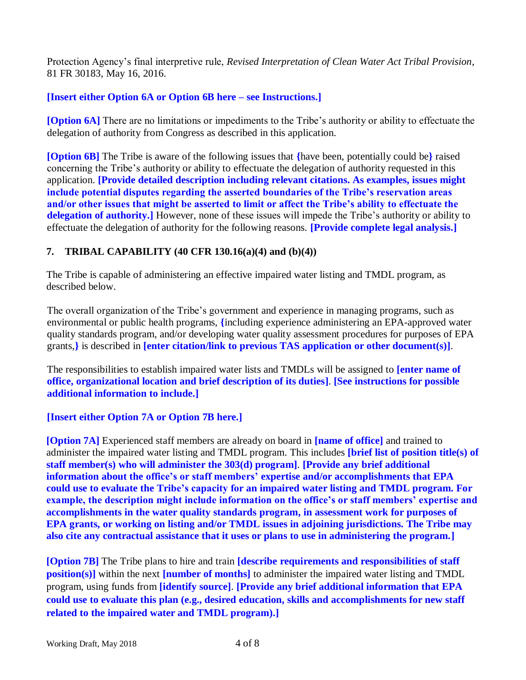Protection Agency's final interpretive rule, *Revised Interpretation of Clean Water Act Tribal Provision*, 81 FR 30183, May 16, 2016.

## **[Insert either Option 6A or Option 6B here – see Instructions.]**

**[Option 6A]** There are no limitations or impediments to the Tribe's authority or ability to effectuate the delegation of authority from Congress as described in this application.

**[Option 6B]** The Tribe is aware of the following issues that **{**have been, potentially could be**}** raised concerning the Tribe's authority or ability to effectuate the delegation of authority requested in this application. **[Provide detailed description including relevant citations. As examples, issues might include potential disputes regarding the asserted boundaries of the Tribe's reservation areas and/or other issues that might be asserted to limit or affect the Tribe's ability to effectuate the delegation of authority.]** However, none of these issues will impede the Tribe's authority or ability to effectuate the delegation of authority for the following reasons. **[Provide complete legal analysis.]**

## **7. TRIBAL CAPABILITY (40 CFR 130.16(a)(4) and (b)(4))**

The Tribe is capable of administering an effective impaired water listing and TMDL program, as described below.

The overall organization of the Tribe's government and experience in managing programs, such as environmental or public health programs, **{**including experience administering an EPA-approved water quality standards program, and/or developing water quality assessment procedures for purposes of EPA grants,**}** is described in **[enter citation/link to previous TAS application or other document(s)]**.

The responsibilities to establish impaired water lists and TMDLs will be assigned to **[enter name of office, organizational location and brief description of its duties]**. **[See instructions for possible additional information to include.]**

## **[Insert either Option 7A or Option 7B here.]**

**[Option 7A]** Experienced staff members are already on board in **[name of office]** and trained to administer the impaired water listing and TMDL program. This includes **[brief list of position title(s) of staff member(s) who will administer the 303(d) program]**. **[Provide any brief additional information about the office's or staff members' expertise and/or accomplishments that EPA could use to evaluate the Tribe's capacity for an impaired water listing and TMDL program. For example, the description might include information on the office's or staff members' expertise and accomplishments in the water quality standards program, in assessment work for purposes of EPA grants, or working on listing and/or TMDL issues in adjoining jurisdictions. The Tribe may also cite any contractual assistance that it uses or plans to use in administering the program.]**

**[Option 7B]** The Tribe plans to hire and train **[describe requirements and responsibilities of staff position(s)** within the next **[number of months]** to administer the impaired water listing and TMDL program, using funds from **[identify source]**. **[Provide any brief additional information that EPA could use to evaluate this plan (e.g., desired education, skills and accomplishments for new staff related to the impaired water and TMDL program).]**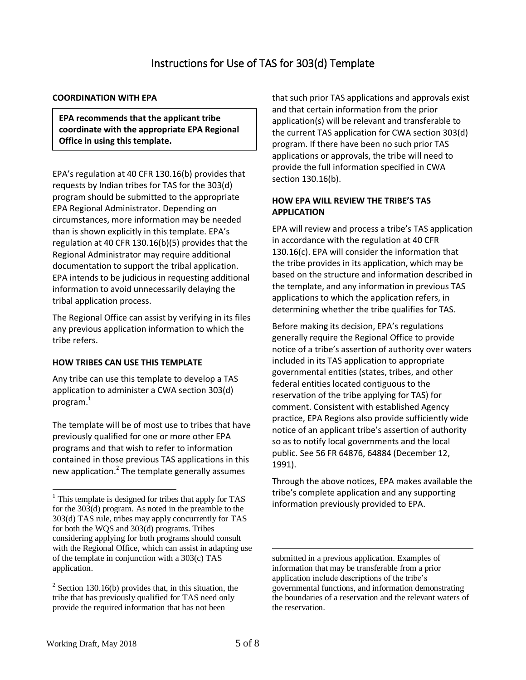#### **COORDINATION WITH EPA**

**EPA recommends that the applicant tribe coordinate with the appropriate EPA Regional Office in using this template.**

EPA's regulation at 40 CFR 130.16(b) provides that requests by Indian tribes for TAS for the 303(d) program should be submitted to the appropriate EPA Regional Administrator. Depending on circumstances, more information may be needed than is shown explicitly in this template. EPA's regulation at 40 CFR 130.16(b)(5) provides that the Regional Administrator may require additional documentation to support the tribal application. EPA intends to be judicious in requesting additional information to avoid unnecessarily delaying the tribal application process.

The Regional Office can assist by verifying in its files any previous application information to which the tribe refers.

#### **HOW TRIBES CAN USE THIS TEMPLATE**

Any tribe can use this template to develop a TAS application to administer a CWA section 303(d) program. $^{\rm 1}$ 

The template will be of most use to tribes that have previously qualified for one or more other EPA programs and that wish to refer to information contained in those previous TAS applications in this new application.<sup>2</sup> The template generally assumes

that such prior TAS applications and approvals exist and that certain information from the prior application(s) will be relevant and transferable to the current TAS application for CWA section 303(d) program. If there have been no such prior TAS applications or approvals, the tribe will need to provide the full information specified in CWA section 130.16(b).

#### **HOW EPA WILL REVIEW THE TRIBE'S TAS APPLICATION**

EPA will review and process a tribe's TAS application in accordance with the regulation at 40 CFR 130.16(c). EPA will consider the information that the tribe provides in its application, which may be based on the structure and information described in the template, and any information in previous TAS applications to which the application refers, in determining whether the tribe qualifies for TAS.

Before making its decision, EPA's regulations generally require the Regional Office to provide notice of a tribe's assertion of authority over waters included in its TAS application to appropriate governmental entities (states, tribes, and other federal entities located contiguous to the reservation of the tribe applying for TAS) for comment. Consistent with established Agency practice, EPA Regions also provide sufficiently wide notice of an applicant tribe's assertion of authority so as to notify local governments and the local public. See 56 FR 64876, 64884 (December 12, 1991).

Through the above notices, EPA makes available the tribe's complete application and any supporting information previously provided to EPA.

 $\overline{a}$ 

 $\overline{a}$ 

 $<sup>1</sup>$  This template is designed for tribes that apply for TAS</sup> for the 303(d) program. As noted in the preamble to the 303(d) TAS rule, tribes may apply concurrently for TAS for both the WQS and 303(d) programs. Tribes considering applying for both programs should consult with the Regional Office, which can assist in adapting use of the template in conjunction with a 303(c) TAS application.

 $2^2$  Section 130.16(b) provides that, in this situation, the tribe that has previously qualified for TAS need only provide the required information that has not been

submitted in a previous application. Examples of information that may be transferable from a prior application include descriptions of the tribe's governmental functions, and information demonstrating the boundaries of a reservation and the relevant waters of the reservation.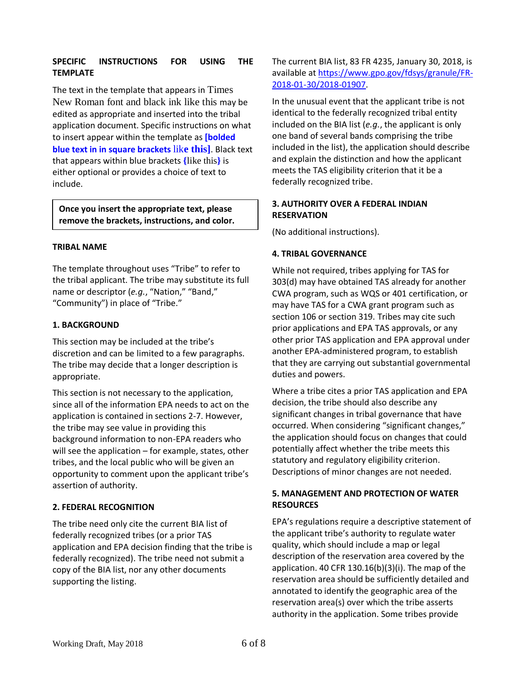#### **SPECIFIC INSTRUCTIONS FOR USING THE TEMPLATE**

The text in the template that appears in Times New Roman font and black ink like this may be edited as appropriate and inserted into the tribal application document. Specific instructions on what to insert appear within the template as **[bolded blue text in in square brackets** lik**e this]**. Black text that appears within blue brackets **{**like this**}** is either optional or provides a choice of text to include.

**Once you insert the appropriate text, please remove the brackets, instructions, and color.**

#### **TRIBAL NAME**

The template throughout uses "Tribe" to refer to the tribal applicant. The tribe may substitute its full name or descriptor (*e.g.*, "Nation," "Band," "Community") in place of "Tribe."

#### **1. BACKGROUND**

This section may be included at the tribe's discretion and can be limited to a few paragraphs. The tribe may decide that a longer description is appropriate.

This section is not necessary to the application, since all of the information EPA needs to act on the application is contained in sections 2-7. However, the tribe may see value in providing this background information to non-EPA readers who will see the application – for example, states, other tribes, and the local public who will be given an opportunity to comment upon the applicant tribe's assertion of authority.

#### **2. FEDERAL RECOGNITION**

The tribe need only cite the current BIA list of federally recognized tribes (or a prior TAS application and EPA decision finding that the tribe is federally recognized). The tribe need not submit a copy of the BIA list, nor any other documents supporting the listing.

The current BIA list, 83 FR 4235, January 30, 2018, is available at [https://www.gpo.gov/fdsys/granule/FR-](https://www.gpo.gov/fdsys/granule/FR-2018-01-30/2018-01907)[2018-01-30/2018-01907.](https://www.gpo.gov/fdsys/granule/FR-2018-01-30/2018-01907)

In the unusual event that the applicant tribe is not identical to the federally recognized tribal entity included on the BIA list (*e.g.*, the applicant is only one band of several bands comprising the tribe included in the list), the application should describe and explain the distinction and how the applicant meets the TAS eligibility criterion that it be a federally recognized tribe.

#### **3. AUTHORITY OVER A FEDERAL INDIAN RESERVATION**

(No additional instructions).

#### **4. TRIBAL GOVERNANCE**

While not required, tribes applying for TAS for 303(d) may have obtained TAS already for another CWA program, such as WQS or 401 certification, or may have TAS for a CWA grant program such as section 106 or section 319. Tribes may cite such prior applications and EPA TAS approvals, or any other prior TAS application and EPA approval under another EPA-administered program, to establish that they are carrying out substantial governmental duties and powers.

Where a tribe cites a prior TAS application and EPA decision, the tribe should also describe any significant changes in tribal governance that have occurred. When considering "significant changes," the application should focus on changes that could potentially affect whether the tribe meets this statutory and regulatory eligibility criterion. Descriptions of minor changes are not needed.

#### **5. MANAGEMENT AND PROTECTION OF WATER RESOURCES**

EPA's regulations require a descriptive statement of the applicant tribe's authority to regulate water quality, which should include a map or legal description of the reservation area covered by the application. 40 CFR 130.16(b)(3)(i). The map of the reservation area should be sufficiently detailed and annotated to identify the geographic area of the reservation area(s) over which the tribe asserts authority in the application. Some tribes provide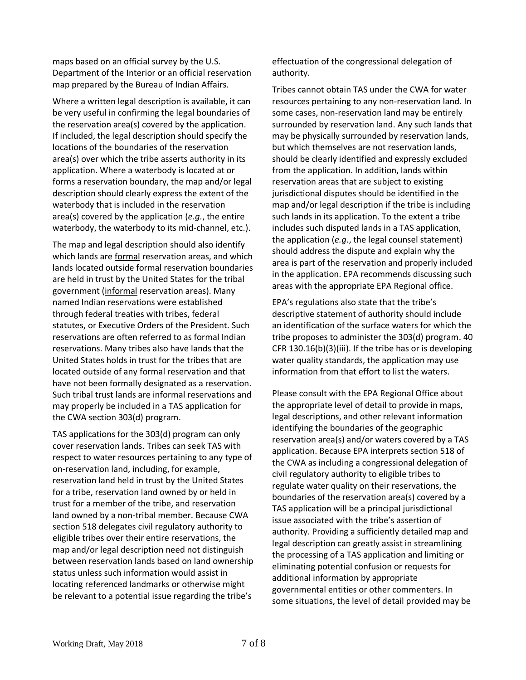maps based on an official survey by the U.S. Department of the Interior or an official reservation map prepared by the Bureau of Indian Affairs.

Where a written legal description is available, it can be very useful in confirming the legal boundaries of the reservation area(s) covered by the application. If included, the legal description should specify the locations of the boundaries of the reservation area(s) over which the tribe asserts authority in its application. Where a waterbody is located at or forms a reservation boundary, the map and/or legal description should clearly express the extent of the waterbody that is included in the reservation area(s) covered by the application (*e.g.*, the entire waterbody, the waterbody to its mid-channel, etc.).

The map and legal description should also identify which lands are formal reservation areas, and which lands located outside formal reservation boundaries are held in trust by the United States for the tribal government (informal reservation areas). Many named Indian reservations were established through federal treaties with tribes, federal statutes, or Executive Orders of the President. Such reservations are often referred to as formal Indian reservations. Many tribes also have lands that the United States holds in trust for the tribes that are located outside of any formal reservation and that have not been formally designated as a reservation. Such tribal trust lands are informal reservations and may properly be included in a TAS application for the CWA section 303(d) program.

TAS applications for the 303(d) program can only cover reservation lands. Tribes can seek TAS with respect to water resources pertaining to any type of on-reservation land, including, for example, reservation land held in trust by the United States for a tribe, reservation land owned by or held in trust for a member of the tribe, and reservation land owned by a non-tribal member. Because CWA section 518 delegates civil regulatory authority to eligible tribes over their entire reservations, the map and/or legal description need not distinguish between reservation lands based on land ownership status unless such information would assist in locating referenced landmarks or otherwise might be relevant to a potential issue regarding the tribe's

effectuation of the congressional delegation of authority.

Tribes cannot obtain TAS under the CWA for water resources pertaining to any non-reservation land. In some cases, non-reservation land may be entirely surrounded by reservation land. Any such lands that may be physically surrounded by reservation lands, but which themselves are not reservation lands, should be clearly identified and expressly excluded from the application. In addition, lands within reservation areas that are subject to existing jurisdictional disputes should be identified in the map and/or legal description if the tribe is including such lands in its application. To the extent a tribe includes such disputed lands in a TAS application, the application (*e.g.*, the legal counsel statement) should address the dispute and explain why the area is part of the reservation and properly included in the application. EPA recommends discussing such areas with the appropriate EPA Regional office.

EPA's regulations also state that the tribe's descriptive statement of authority should include an identification of the surface waters for which the tribe proposes to administer the 303(d) program. 40 CFR 130.16(b)(3)(iii). If the tribe has or is developing water quality standards, the application may use information from that effort to list the waters.

Please consult with the EPA Regional Office about the appropriate level of detail to provide in maps, legal descriptions, and other relevant information identifying the boundaries of the geographic reservation area(s) and/or waters covered by a TAS application. Because EPA interprets section 518 of the CWA as including a congressional delegation of civil regulatory authority to eligible tribes to regulate water quality on their reservations, the boundaries of the reservation area(s) covered by a TAS application will be a principal jurisdictional issue associated with the tribe's assertion of authority. Providing a sufficiently detailed map and legal description can greatly assist in streamlining the processing of a TAS application and limiting or eliminating potential confusion or requests for additional information by appropriate governmental entities or other commenters. In some situations, the level of detail provided may be